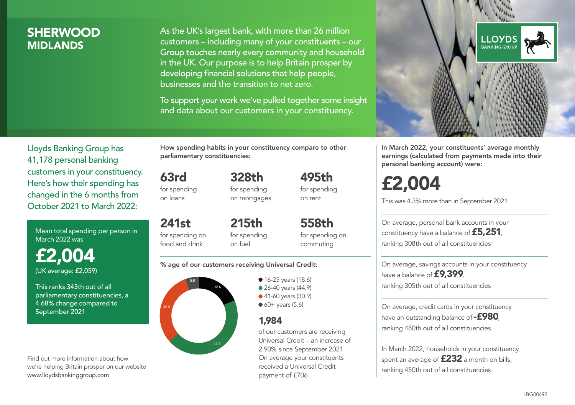# **SHERWOOD MIDI ANDS**

As the UK's largest bank, with more than 26 million customers – including many of your constituents – our Group touches nearly every community and household in the UK. Our purpose is to help Britain prosper by developing financial solutions that help people, businesses and the transition to net zero.

To support your work we've pulled together some insight and data about our customers in your constituency.



Mean total spending per person in March 2022 was

£2,004 (UK average: £2,059)

This ranks 345th out of all parliamentary constituencies, a 4.68% change compared to September 2021

Find out more information about how we're helping Britain prosper on our website www.lloydsbankinggroup.com

How spending habits in your constituency compare to other parliamentary constituencies:

63rd for spending on loans

241st

for spending on mortgages

328th

495th for spending on rent

for spending on food and drink 215th for spending on fuel

558th for spending on commuting

#### % age of our customers receiving Universal Credit:



• 16-25 years (18.6) • 26-40 years (44.9) ● 41-60 years (30.9)

 $60+$  years (5.6)

# 1,984

of our customers are receiving Universal Credit – an increase of 2.90% since September 2021. On average your constituents received a Universal Credit payment of £706



In March 2022, your constituents' average monthly earnings (calculated from payments made into their personal banking account) were:

# £2,004

This was 4.3% more than in September 2021

On average, personal bank accounts in your constituency have a balance of £5,251, ranking 308th out of all constituencies

On average, savings accounts in your constituency have a balance of **£9,399**, ranking 305th out of all constituencies

On average, credit cards in your constituency have an outstanding balance of  $-$ £980, ranking 480th out of all constituencies

In March 2022, households in your constituency spent an average of **£232** a month on bills, ranking 450th out of all constituencies